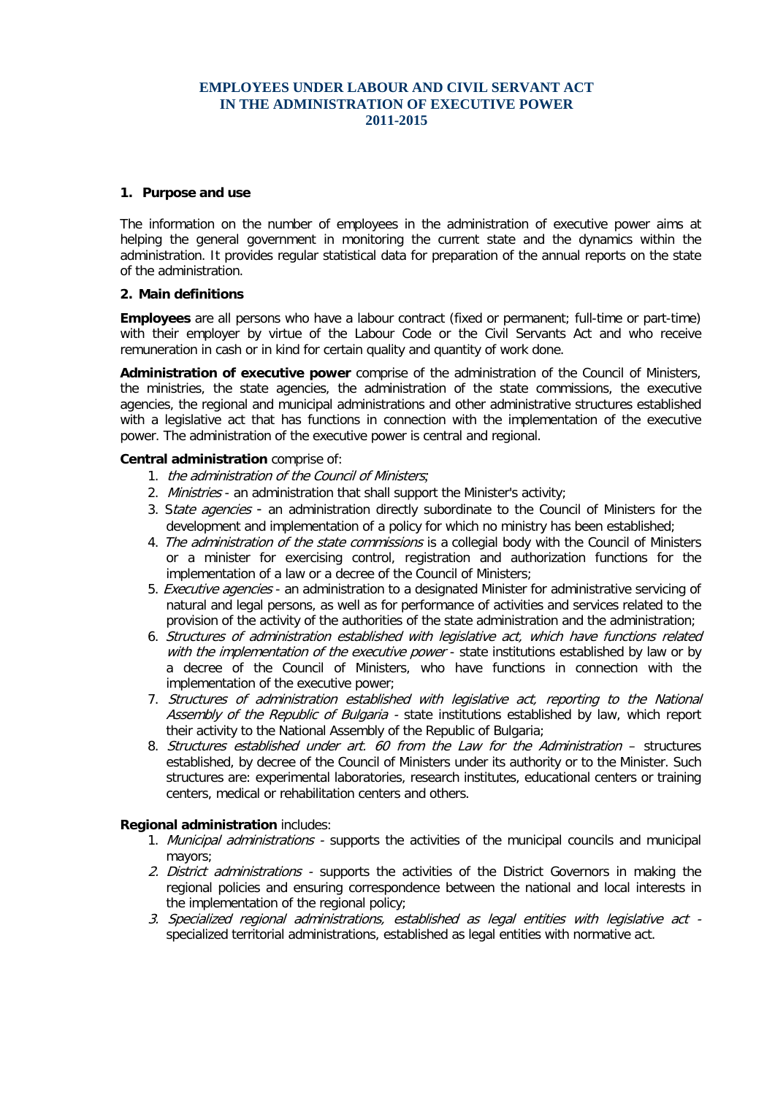## **EMPLOYEES UNDER LABOUR AND CIVIL SERVANT ACT IN THE ADMINISTRATION OF EXECUTIVE POWER 2011-2015**

### **1. Purpose and use**

The information on the number of employees in the administration of executive power aims at helping the general government in monitoring the current state and the dynamics within the administration. It provides regular statistical data for preparation of the annual reports on the state of the administration.

### **2. Main definitions**

**Employees** are all persons who have a labour contract (fixed or permanent; full-time or part-time) with their employer by virtue of the Labour Code or the Civil Servants Act and who receive remuneration in cash or in kind for certain quality and quantity of work done.

**Administration of executive power** comprise of the administration of the Council of Ministers, the ministries, the state agencies, the administration of the state commissions, the executive agencies, the regional and municipal administrations and other administrative structures established with a legislative act that has functions in connection with the implementation of the executive power. The administration of the executive power is central and regional.

### **Central administration** comprise of:

- 1. the administration of the Council of Ministers*;*
- 2. Ministries an administration that shall support the Minister's activity;
- 3. State agencies an administration directly subordinate to the Council of Ministers for the development and implementation of a policy for which no ministry has been established;
- 4. The administration of the state commissions is a collegial body with the Council of Ministers or a minister for exercising control, registration and authorization functions for the implementation of a law or a decree of the Council of Ministers;
- 5. Executive agencies an administration to a designated Minister for administrative servicing of natural and legal persons, as well as for performance of activities and services related to the provision of the activity of the authorities of the state administration and the administration;
- 6. Structures of administration established with legislative act, which have functions related with the implementation of the executive power - state institutions established by law or by a decree of the Council of Ministers, who have functions in connection with the implementation of the executive power;
- 7. Structures of administration established with legislative act, reporting to the National Assembly of the Republic of Bulgaria - state institutions established by law, which report their activity to the National Assembly of the Republic of Bulgaria;
- 8. Structures established under art. 60 from the Law for the Administration structures established, by decree of the Council of Ministers under its authority or to the Minister. Such structures are: experimental laboratories, research institutes, educational centers or training centers, medical or rehabilitation centers and others.

## **Regional administration** includes:

- 1. Municipal administrations supports the activities of the municipal councils and municipal mayors;
- 2. District administrations supports the activities of the District Governors in making the regional policies and ensuring correspondence between the national and local interests in the implementation of the regional policy;
- 3. Specialized regional administrations, established as legal entities with legislative act specialized territorial administrations, established as legal entities with normative act.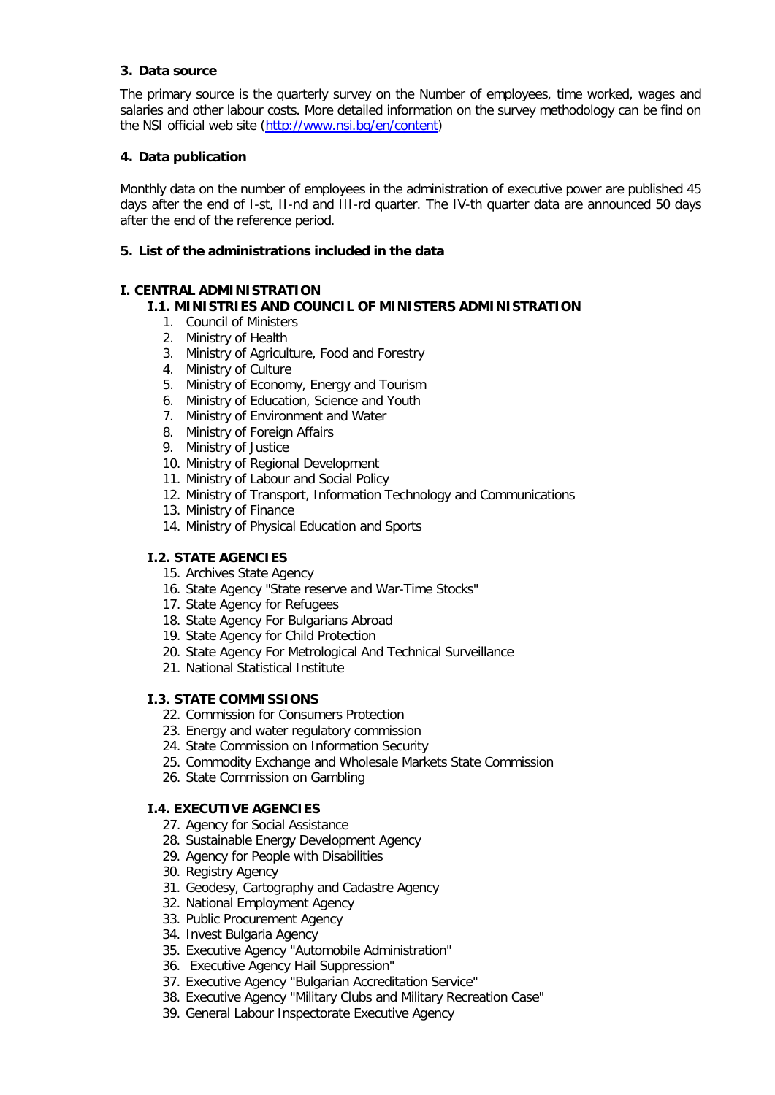## **3. Data source**

The primary source is the quarterly survey on the Number of employees, time worked, wages and salaries and other labour costs. More detailed information on the survey methodology can be find on the NSI official web site [\(http://www.nsi.bg/en/content\)](http://www.nsi.bg/en/content)

## **4. Data publication**

Monthly data on the number of employees in the administration of executive power are published 45 days after the end of I-st, II-nd and III-rd quarter. The IV-th quarter data are announced 50 days after the end of the reference period.

## **5. List of the administrations included in the data**

## **І. CENTRAL ADMINISTRATION**

## **І.1. MINISTRIES AND COUNCIL OF MINISTERS ADMINISTRATION**

- 1. Council of Ministers
- 2. Ministry of Health
- 3. Ministry of Agriculture, Food and Forestry
- 4. Ministry of Culture
- 5. Ministry of Economy, Energy and Tourism
- 6. Ministry of Education, Science and Youth
- 7. Ministry of Environment and Water
- 8. Ministry of Foreign Affairs
- 9. Ministry of Justice
- 10. Ministry of Regional Development
- 11. Ministry of Labour and Social Policy
- 12. Ministry of Transport, Information Technology and Communications
- 13. Ministry of Finance
- 14. Ministry of Physical Education and Sports

# **І.2. STATE AGENCIES**

- 15. Archives State Agency
- 16. [State Agency "State reserve and War-Time Stocks"](http://www.statereserve.bg/dadrvvz/opencms/menu/bg/)
- 17. State Agency for Refugees
- 18. [State Agency For Bulgarians Abroad](http://www.aba.government.bg/)
- 19. [State Agency for Child Protection](http://www.sacp.government.bg/)
- 20. State Agency For Metrological And Technical Surveillance
- 21. [National Statistical](http://www.nsi.bg/) Institute

## **І.3. STATE COMMISSIONS**

- 22. [Commission for Consumers Protection](http://www.kzp.bg/)
- 23. [Energy and water regulatory commission](http://www.dker.bg/)
- 24. [State Commission on Information Security](http://www.dksi.bg/)
- 25. [Commodity Exchange and Wholesale Markets State Commission](http://www.dksbt.bg/)
- 26. [State Commission on Gambling](http://www.dkh.minfin.bg/)

# **І.4. EXECUTIVE AGENCIES**

- 27. [Agency for Social Assistance](http://www.asp.government.bg/)
- 28. [Sustainable Energy Development Agency](http://www.seea.government.bg/)
- 29. [Agency for People with Disabilities](http://ahu.mlsp.government.bg/)
- 30. [Registry Agency](http://www.registryagency.bg/)
- 31. [Geodesy, Cartography and Cadastre Agency](http://www.cadastre.bg/)
- 32. [National Employment Agency](http://www.az.government.bg/)
- 33. [Public Procurement Agency](http://www.aop.bg/)
- 34. [Invest Bulgaria Agency](http://www.investbg.government.bg/)
- 35. Executive Agency "Automobile Administration"
- 36. [Executive Agency Hail Suppression"](javascript://)
- 37. Executive Agency "Bulgarian Accreditation Service"
- 38. Executive Agency "Military Clubs and Military Recreation Case"
- 39. General Labour Inspectorate Executive Agency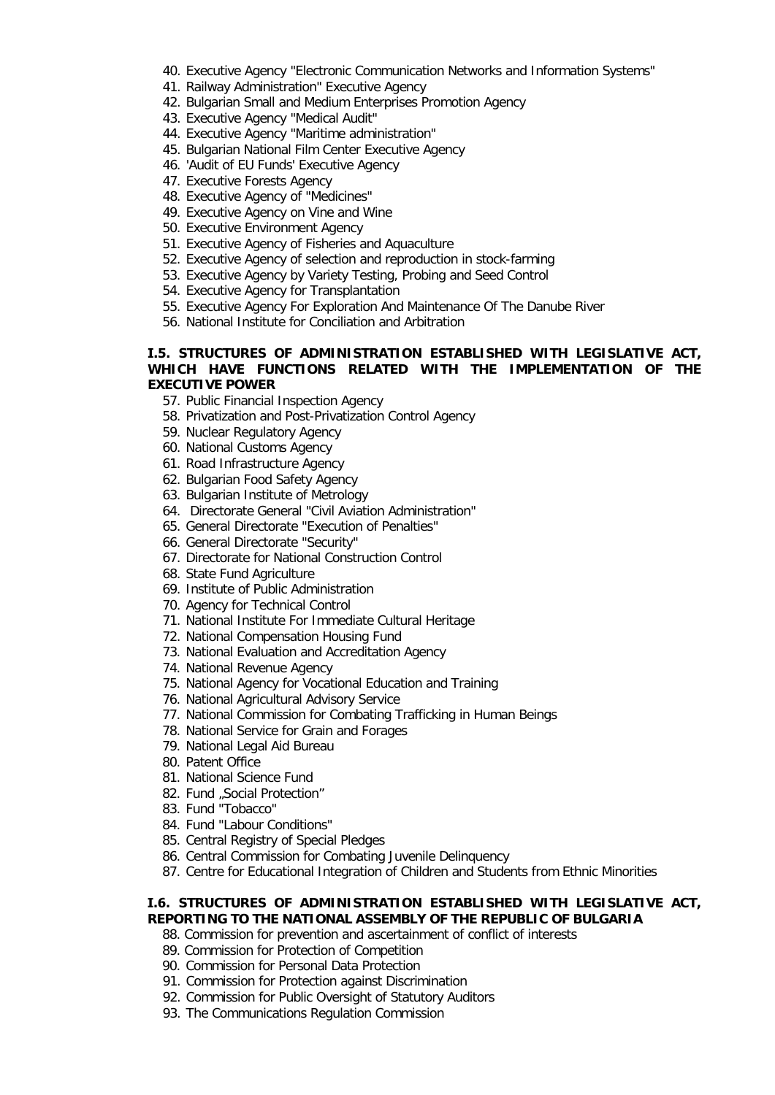- 40. Executive Agency "Electronic Communication Networks and Information Systems"
- 41. Railway Administration" Executive Agency
- 42. Bulgarian Small and Medium Enterprises Promotion Agency
- 43. Executive Agency "Medical Audit"
- 44. Executive Agency "Maritime administration"
- 45. Bulgarian National Film Center Executive Agency
- 46. 'Audit of EU Funds' Executive Agency
- 47. [Executive Forests Agency](http://www.nug.bg/)
- 48. Executive Agency of "Medicines"
- 49. Executive Agency on Vine and Wine
- 50. Executive Environment Agency
- 51. Executive Agency of Fisheries and Aquaculture
- 52. Executive Agency of selection and reproduction in stock-farming
- 53. Executive Agency by Variety Testing, Probing and Seed Control
- 54. Executive Agency for Transplantation
- 55. Executive Agency For Exploration And Maintenance Of The Danube River
- 56. National Institute for Conciliation and Arbitration

### **І.5. STRUCTURES OF ADMINISTRATION ESTABLISHED WITH LEGISLATIVE ACT, WHICH HAVE FUNCTIONS RELATED WITH THE IMPLEMENTATION OF THE EXECUTIVE POWER**

- 57. [Public Financial Inspection Agency](http://www.adfi.minfin.bg/)
- 58. [Privatization and Post-Privatization Control Agency](http://www.priv.government.bg/)
- 59. Nuclear [Regulatory Agency](http://www.bnra.bg/)
- 60. [National Customs Agency](http://www.customs.bg/)
- 61. Road Infrastructure Agency
- 62. Bulgarian Food Safety Agency
- 63. Bulgarian Institute of Metrology
- 64. [Directorate General "Civil Aviation Administration"](javascript://)
- 65. General Directorate "Execution of Penalties"
- 66. General Directorate "Security"
- 67. Directorate for National Construction Control
- 68. State Fund Agriculture
- 69. Institute of Public Administration
- 70. Agency for Technical Control
- 71. National Institute For Immediate Cultural Heritage
- 72. National Compensation Housing Fund
- 73. National Evaluation and Accreditation Agency
- 74. [National Revenue Agency](http://www.nap.bg/)
- 75. National Agency for Vocational Education and Training
- 76. National Agricultural Advisory Service
- 77. National Commission for Combating Trafficking in Human Beings
- 78. National Service for Grain and Forages
- 79. National Legal Aid Bureau
- 80. [Patent Office](http://www.bpo.bg/)
- 81. National Science Fund
- 82. Fund "Social Protection"
- 83. Fund "Tobacco"
- 84. Fund "Labour Conditions"
- 85. Central Registry of Special Pledges
- 86. Central Commission for Combating Juvenile Delinquency
- 87. Centre for Educational Integration of Children and Students from Ethnic Minorities

## **І.6. STRUCTURES OF ADMINISTRATION ESTABLISHED WITH LEGISLATIVE ACT, REPORTING TO THE NATIONAL ASSEMBLY OF THE REPUBLIC OF BULGARIA**

- 88. Commission for prevention and ascertainment of conflict of interests
- 89. Commission [for Protection of Competition](http://www.cpc.bg/)
- 90. [Commission for Personal Data Protection](http://www.cpdp.bg/)
- 91. [Commission for Protection against Discrimination](http://www.kzd-nondiscrimination.com/)
- 92. Commission for Public Oversight of Statutory Auditors
- 93. [The Communications Regulation Commission](http://www.crc.bg/)